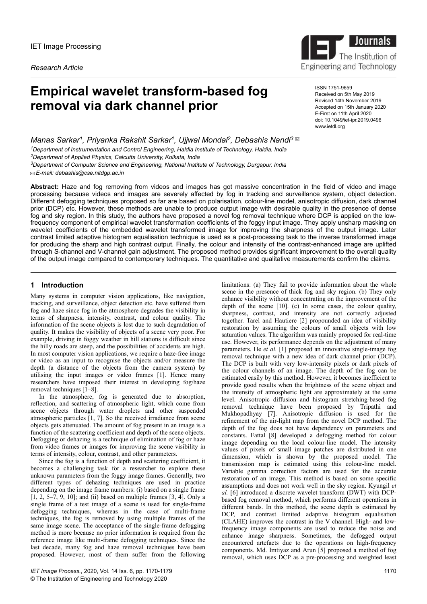*Research Article*

# **Empirical wavelet transform-based fog removal via dark channel prior**

ISSN 1751-9659 Received on 5th May 2019 Revised 14th November 2019 Accepted on 15th January 2020 E-First on 11th April 2020 doi: 10.1049/iet-ipr.2019.0496 www.ietdl.org

Engineering and Technology

 $\blacksquare$ 

**Journals** 

The Institution of

*Manas Sarkar<sup>1</sup> , Priyanka Rakshit Sarkar<sup>1</sup> , Ujjwal Mondal<sup>2</sup> , Debashis Nandi<sup>3</sup> Department of Instrumentation and Control Engineering, Haldia Institute of Technology, Haldia, India Department of Applied Physics, Calcutta University, Kolkata, India Department of Computer Science and Engineering, National Institute of Technology, Durgapur, India*

 *E-mail: debashis@cse.nitdgp.ac.in*

**Abstract:** Haze and fog removing from videos and images has got massive concentration in the field of video and image processing because videos and images are severely affected by fog in tracking and surveillance system, object detection. Different defogging techniques proposed so far are based on polarisation, colour-line model, anisotropic diffusion, dark channel prior (DCP) etc. However, these methods are unable to produce output image with desirable quality in the presence of dense fog and sky region. In this study, the authors have proposed a novel fog removal technique where DCP is applied on the lowfrequency component of empirical wavelet transformation coefficients of the foggy input image. They apply unsharp masking on wavelet coefficients of the embedded wavelet transformed image for improving the sharpness of the output image. Later contrast limited adaptive histogram equalisation technique is used as a post-processing task to the inverse transformed image for producing the sharp and high contrast output. Finally, the colour and intensity of the contrast-enhanced image are uplifted through S-channel and V-channel gain adjustment. The proposed method provides significant improvement to the overall quality of the output image compared to contemporary techniques. The quantitative and qualitative measurements confirm the claims.

# **1 Introduction**

Many systems in computer vision applications, like navigation, tracking, and surveillance, object detection etc. have suffered from fog and haze since fog in the atmosphere degrades the visibility in terms of sharpness, intensity, contrast, and colour quality. The information of the scene objects is lost due to such degradation of quality. It makes the visibility of objects of a scene very poor. For example, driving in foggy weather in hill stations is difficult since the hilly roads are steep, and the possibilities of accidents are high. In most computer vision applications, we require a haze-free image or video as an input to recognise the objects and/or measure the depth (a distance of the objects from the camera system) by utilising the input images or video frames [1]. Hence many researchers have imposed their interest in developing fog/haze removal techniques  $[\bar{1}-8]$ .

In the atmosphere, fog is generated due to absorption, reflection, and scattering of atmospheric light, which come from scene objects through water droplets and other suspended atmospheric particles [1, 7]. So the received irradiance from scene objects gets attenuated. The amount of fog present in an image is a function of the scattering coefficient and depth of the scene objects. Defogging or dehazing is a technique of elimination of fog or haze from video frames or images for improving the scene visibility in terms of intensity, colour, contrast, and other parameters.

Since the fog is a function of depth and scattering coefficient, it becomes a challenging task for a researcher to explore these unknown parameters from the foggy image frames. Generally, two different types of dehazing techniques are used in practice depending on the image frame numbers: (i) based on a single frame  $[1, 2, 5-7, 9, 10]$ ; and (ii) based on multiple frames  $[3, 4]$ . Only a single frame of a test image of a scene is used for single-frame defogging techniques, whereas in the case of multi-frame techniques, the fog is removed by using multiple frames of the same image scene. The acceptance of the single-frame defogging method is more because no prior information is required from the reference image like multi-frame defogging techniques. Since the last decade, many fog and haze removal techniques have been proposed. However, most of them suffer from the following

limitations: (a) They fail to provide information about the whole scene in the presence of thick fog and sky region. (b) They only enhance visibility without concentrating on the improvement of the depth of the scene [10]. (c) In some cases, the colour quality, sharpness, contrast, and intensity are not correctly adjusted together. Tarel and Hautiere [2] propounded an idea of visibility restoration by assuming the colours of small objects with low saturation values. The algorithm was mainly proposed for real-time use. However, its performance depends on the adjustment of many parameters. He *et al.* [1] proposed an innovative single-image fog removal technique with a new idea of dark channel prior (DCP). The DCP is built with very low-intensity pixels or dark pixels of the colour channels of an image. The depth of the fog can be estimated easily by this method. However, it becomes inefficient to provide good results when the brightness of the scene object and the intensity of atmospheric light are approximately at the same level. Anisotropic diffusion and histogram stretching-based fog removal technique have been proposed by Tripathi and Mukhopadhyay [7]. Anisotropic diffusion is used for the refinement of the air-light map from the novel DCP method. The depth of the fog does not have dependency on parameters and constants. Fattal [8] developed a defogging method for colour image depending on the local colour-line model. The intensity values of pixels of small image patches are distributed in one dimension, which is shown by the proposed model. The transmission map is estimated using this colour-line model. Variable gamma correction factors are used for the accurate restoration of an image. This method is based on some specific assumptions and does not work well in the sky region. Kyungil *et al.* [6] introduced a discrete wavelet transform (DWT) with DCPbased fog removal method, which performs different operations in different bands. In this method, the scene depth is estimated by DCP, and contrast limited adaptive histogram equalisation (CLAHE) improves the contrast in the V channel. High- and lowfrequency image components are used to reduce the noise and enhance image sharpness. Sometimes, the defogged output encountered artefacts due to the operations on high-frequency components. Md. Imtiyaz and Arun [5] proposed a method of fog removal, which uses DCP as a pre-processing and weighted least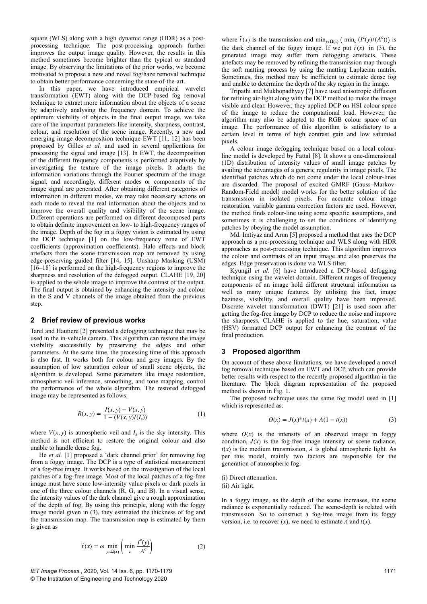square (WLS) along with a high dynamic range (HDR) as a postprocessing technique. The post-processing approach further improves the output image quality. However, the results in this method sometimes become brighter than the typical or standard image. By observing the limitations of the prior works, we become motivated to propose a new and novel fog/haze removal technique to obtain better performance concerning the state-of-the-art.

In this paper, we have introduced empirical wavelet transformation (EWT) along with the DCP-based fog removal technique to extract more information about the objects of a scene by adaptively analysing the frequency domain. To achieve the optimum visibility of objects in the final output image, we take care of the important parameters like intensity, sharpness, contrast, colour, and resolution of the scene image. Recently, a new and emerging image decomposition technique EWT [11, 12] has been proposed by Gilles *et al.* and used in several applications for processing the signal and image [13]. In EWT, the decomposition of the different frequency components is performed adaptively by investigating the texture of the image pixels. It adapts the information variations through the Fourier spectrum of the image signal, and accordingly, different modes or components of the image signal are generated. After obtaining different categories of information in different modes, we may take necessary actions on each mode to reveal the real information about the objects and to improve the overall quality and visibility of the scene image. Different operations are performed on different decomposed parts to obtain definite improvement on low- to high-frequency ranges of the image. Depth of the fog in a foggy vision is estimated by using the DCP technique [1] on the low-frequency zone of EWT coefficients (approximation coefficients). Halo effects and block artefacts from the scene transmission map are removed by using edge-preserving guided filter [14, 15]. Unsharp Masking (USM)  $[16–18]$  is performed on the high-frequency regions to improve the sharpness and resolution of the defogged output. CLAHE [19, 20] is applied to the whole image to improve the contrast of the output. The final output is obtained by enhancing the intensity and colour in the S and V channels of the image obtained from the previous step.

# **2 Brief review of previous works**

Tarel and Hautiere [2] presented a defogging technique that may be used in the in-vehicle camera. This algorithm can restore the image visibility successfully by preserving the edges and other parameters. At the same time, the processing time of this approach is also fast. It works both for colour and grey images. By the assumption of low saturation colour of small scene objects, the algorithm is developed. Some parameters like image restoration, atmospheric veil inference, smoothing, and tone mapping, control the performance of the whole algorithm. The restored defogged image may be represented as follows:

$$
R(x, y) = \frac{I(x, y) - V(x, y)}{1 - (V(x, y)/(I_s))}
$$
(1)

where  $V(x, y)$  is atmospheric veil and  $I_s$  is the sky intensity. This method is not efficient to restore the original colour and also unable to handle dense fog.

He *et al.* [1] proposed a 'dark channel prior' for removing fog from a foggy image. The DCP is a type of statistical measurement of a fog-free image. It works based on the investigation of the local patches of a fog-free image. Most of the local patches of a fog-free image must have some low-intensity value pixels or dark pixels in one of the three colour channels (R, G, and B). In a visual sense, the intensity values of the dark channel give a rough approximation of the depth of fog. By using this principle, along with the foggy image model given in (3), they estimated the thickness of fog and the transmission map. The transmission map is estimated by them is given as

$$
\tilde{t}(x) = \omega \min_{y \in \Omega(x)} \left( \min_{c} \frac{I^c(y)}{A^c} \right)
$$
 (2)

where  $\tilde{t}(x)$  is the transmission and min<sub>y*ε*Ω(*x*)</sub> (min<sub>c</sub> ( $I^c(y)/(A^c)$ )) is the dark channel of the foggy image. If we put  $\tilde{t}(x)$  in (3), the generated image may suffer from defogging artefacts. These artefacts may be removed by refining the transmission map through the soft matting process by using the matting Laplacian matrix. Sometimes, this method may be inefficient to estimate dense fog and unable to determine the depth of the sky region in the image.

Tripathi and Mukhopadhyay [7] have used anisotropic diffusion for refining air-light along with the DCP method to make the image visible and clear. However, they applied DCP on HSI colour space of the image to reduce the computational load. However, the algorithm may also be adapted to the RGB colour space of an image. The performance of this algorithm is satisfactory to a certain level in terms of high contrast gain and low saturated pixels.

A colour image defogging technique based on a local colourline model is developed by Fattal [8]. It shows a one-dimensional (1D) distribution of intensity values of small image patches by availing the advantages of a generic regularity in image pixels. The identified patches which do not come under the local colour-lines are discarded. The proposal of excited GMRF (Gauss–Markov-Random-Field model) model works for the better solution of the transmission in isolated pixels. For accurate colour image restoration, variable gamma correction factors are used. However, the method finds colour-line using some specific assumptions, and sometimes it is challenging to set the conditions of identifying patches by obeying the model assumption.

Md. Imtiyaz and Arun [5] proposed a method that uses the DCP approach as a pre-processing technique and WLS along with HDR approaches as post-processing technique. This algorithm improves the colour and contrasts of an input image and also preserves the edges. Edge preservation is done via WLS filter.

Kyungil *et al.* [6] have introduced a DCP-based defogging technique using the wavelet domain. Different ranges of frequency components of an image hold different structural information as well as many unique features. By utilising this fact, image haziness, visibility, and overall quality have been improved. Discrete wavelet transformation (DWT) [21] is used soon after getting the fog-free image by DCP to reduce the noise and improve the sharpness. CLAHE is applied to the hue, saturation, value (HSV) formatted DCP output for enhancing the contrast of the final production.

# **3 Proposed algorithm**

On account of these above limitations, we have developed a novel fog removal technique based on EWT and DCP, which can provide better results with respect to the recently proposed algorithm in the literature. The block diagram representation of the proposed method is shown in Fig. 1.

The proposed technique uses the same fog model used in [1] which is represented as:

$$
O(x) = J(x)^{*}t(x) + A(1 - t(x))
$$
\n(3)

where  $O(x)$  is the intensity of an observed image in foggy condition,  $J(x)$  is the fog-free image intensity or scene radiance,  $t(x)$  is the medium transmission, *A* is global atmospheric light. As per this model, mainly two factors are responsible for the generation of atmospheric fog:

(i) Direct attenuation.

(ii) Air light.

In a foggy image, as the depth of the scene increases, the scene radiance is exponentially reduced. The scene-depth is related with transmission. So to construct a fog-free image from its foggy version, i.e. to recover  $(x)$ , we need to estimate  $\overline{A}$  and  $t(x)$ .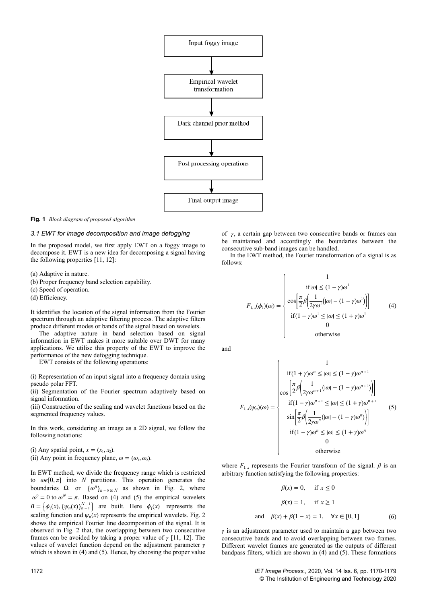

**Fig. 1** *Block diagram of proposed algorithm*

# *3.1 EWT for image decomposition and image defogging*

In the proposed model, we first apply EWT on a foggy image to decompose it. EWT is a new idea for decomposing a signal having the following properties [11, 12]:

(a) Adaptive in nature.

- (b) Proper frequency band selection capability.
- (c) Speed of operation.

(d) Efficiency.

It identifies the location of the signal information from the Fourier spectrum through an adaptive filtering process. The adaptive filters produce different modes or bands of the signal based on wavelets.

The adaptive nature in band selection based on signal information in EWT makes it more suitable over DWT for many applications. We utilise this property of the EWT to improve the performance of the new defogging technique.

EWT consists of the following operations:

(i) Representation of an input signal into a frequency domain using pseudo polar FFT.

(ii) Segmentation of the Fourier spectrum adaptively based on signal information.

(iii) Construction of the scaling and wavelet functions based on the segmented frequency values.

In this work, considering an image as a 2D signal, we follow the following notations:

(i) Any spatial point,  $x = (x_1, x_2)$ .

(ii) Any point in frequency plane,  $\omega = (\omega_1, \omega_2)$ .

In EWT method, we divide the frequency range which is restricted to  $\omega \in [0, \pi]$  into *N* partitions. This operation generates the boundaries  $\Omega$  or  $\{\omega^n\}_{n=0 \text{ to } N}$  as shown in Fig. 2, where  $\omega^0 = 0$  to  $\omega^N = \pi$ . Based on (4) and (5) the empirical wavelets  $B = \{\phi_1(x), \{\psi_n(x)\}_{n=1}^{N-1}\}$  are built. Here  $\phi_1(x)$  represents the scaling function and  $\psi_n(x)$  represents the empirical wavelets. Fig. 2 shows the empirical Fourier line decomposition of the signal. It is observed in Fig. 2 that, the overlapping between two consecutive frames can be avoided by taking a proper value of *γ* [11, 12]. The values of wavelet function depend on the adjustment parameter *γ* which is shown in (4) and (5). Hence, by choosing the proper value

of *γ*, a certain gap between two consecutive bands or frames can be maintained and accordingly the boundaries between the consecutive sub-band images can be handled.

In the EWT method, the Fourier transformation of a signal is as follows:

$$
F_{1,x}(\phi_1)(\omega) = \begin{cases} 1 \\ \operatorname{if}[\omega] \le (1-\gamma)\omega^1 \\ \cos\left[\frac{\pi}{2}\beta\left(\frac{1}{2\gamma\omega^1}[(\omega] - (1-\gamma)\omega^1)\right]\right] \\ \operatorname{if}(1-\gamma)\omega^1 \le |\omega| \le (1+\gamma)\omega^1 \\ 0 \\ \text{otherwise} \end{cases} (4)
$$

and

$$
F_{1,x}(\psi_n)(\omega) = \begin{cases} 1 \\ \text{if}(1+\gamma)\omega^n \leq |\omega| \leq (1-\gamma)\omega^{n+1} \\ \cos\left[\frac{\pi}{2}\beta\left(\frac{1}{2\gamma\omega^{n+1}}(|\omega|-(1-\gamma)\omega^{n+1})\right)\right] \\ \text{if}(1-\gamma)\omega^{n+1} \leq |\omega| \leq (1+\gamma)\omega^{n+1} \\ \sin\left[\frac{\pi}{2}\beta\left(\frac{1}{2\gamma\omega^n}(|\omega|-(1-\gamma)\omega^n)\right)\right] \\ \text{if}(1-\gamma)\omega^n \leq |\omega| \leq (1+\gamma)\omega^n \\ 0 \\ \text{otherwise} \end{cases} \tag{5}
$$

where  $F_{1,x}$  represents the Fourier transform of the signal.  $\beta$  is an arbitrary function satisfying the following properties:

$$
\beta(x) = 0, \quad \text{if } x \le 0
$$
  

$$
\beta(x) = 1, \quad \text{if } x \ge 1
$$
  
and 
$$
\beta(x) + \beta(1 - x) = 1, \quad \forall x \in [0, 1]
$$
 (6)

*γ* is an adjustment parameter used to maintain a gap between two consecutive bands and to avoid overlapping between two frames. Different wavelet frames are generated as the outputs of different bandpass filters, which are shown in (4) and (5). These formations

1172 *IET Image Process.*, 2020, Vol. 14 Iss. 6, pp. 1170-1179 © The Institution of Engineering and Technology 2020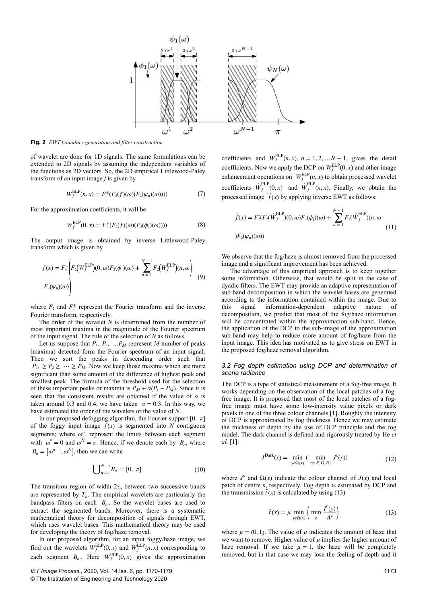

**Fig. 2** *EWT boundary generation and filter construction*

of wavelet are done for 1D signals. The same formulations can be extended to 2D signals by assuming the independent variables of the functions as 2D vectors. So, the 2D empirical Littlewood-Paley transform of an input image *f* is given by

$$
W_f^{\text{ELP}}(n,x) = F_2^*(F_2(f)(\omega)(F_2(\psi_n)(\omega)))) \tag{7}
$$

For the approximation coefficients, it will be

$$
W_f^{\text{ELP}}(0, x) = F_2^*(F_2(f)(\omega)(F_2(\phi_1)(\omega)))) \tag{8}
$$

The output image is obtained by inverse Littlewood-Paley transform which is given by

$$
f(x) = F_2^* \left( F_2 \left( W_f^{\text{ELP}} \right) (0, \omega) F_2(\phi_1) (\omega) + \sum_{n=1}^{N-1} F_2 \left( W_f^{\text{ELP}} \right) (n, \omega) \right)
$$
  

$$
F_2(\psi_n) (\omega) \right)
$$
 (9)

where  $F_2$  and  $F_2^*$  represent the Fourier transform and the inverse Fourier transform, respectively.

The order of the wavelet *N* is determined from the number of most important maxima in the magnitude of the Fourier spectrum of the input signal. The rule of the selection of *N* as follows.

Let us suppose that  $P_1$ ,  $P_2$ , ...  $P_M$  represent *M* number of peaks (maxima) detected form the Fourier spectrum of an input signal. Then we sort the peaks in descending order such that  $P_1, \geq P_2 \geq \cdots \geq P_M$ . Now we keep those maxima which are more significant than some amount of the difference of highest peak and smallest peak. The formula of the threshold used for the selection of these important peaks or maxima is  $P_M + \alpha (P_1 - P_M)$ . Since it is seen that the consistent results are obtained if the value of  $\alpha$  is taken around 0.3 and 0.4, we have taken  $\alpha = 0.3$ . In this way, we have estimated the order of the wavelets or the value of *N*.

In our proposed defogging algorithm, the Fourier support  $[0, \pi]$ of the foggy input image  $f(x)$  is segmented into  $N$  contiguous segments; where  $\omega^n$  represent the limits between each segment with  $\omega^0 = 0$  and  $\omega^N = \pi$ . Hence, if we denote each by  $B_n$ , where  $B_n = \left[\omega^{n-1}, \omega^N\right]$ , then we can write

$$
\bigcup_{n=0}^{N-1} B_n = [0, \pi] \tag{10}
$$

The transition region of width  $2\tau_n$  between two successive bands are represented by  $T<sub>n</sub>$ . The empirical wavelets are particularly the bandpass filters on each  $B_n$ . So the wavelet bases are used to extract the segmented bands. Moreover, there is a systematic mathematical theory for decomposition of signals through EWT, which uses wavelet bases. This mathematical theory may be used for developing the theory of fog/haze removal.

In our proposed algorithm, for an input foggy/haze image, we find out the wavelets  $W_f^{\text{ELP}}(0, x)$  and  $W_f^{\text{ELP}}(n, x)$  corresponding to each segment  $B_n$ . Here  $W_f^{\text{ELP}}(0, x)$  gives the approximation

coefficients and  $W_f^{\text{ELP}}(n, x)$ ,  $n = 1, 2, \ldots N - 1$ , gives the detail coefficients. Now we apply the DCP on  $W_f^{\text{ELP}}(0, x)$  and other image enhancement operations on  $W_f^{\text{ELP}}(n, x)$  to obtain processed wavelet coefficients  $\hat{W}^{\text{ELP}}_f(0, x)$  and  $\hat{W}^{\text{ELP}}_f(n, x)$ . Finally, we obtain the processed image  $f(x)$  by applying inverse EWT as follows:

$$
\hat{f}(x) = F_2^*(F_2(\hat{W}_f^{ELP})(0, \omega)F_2(\phi_1)(\omega) + \sum_{n=1}^{N-1} F_2(\hat{W}_f^{ELP})(n, \omega)
$$
\n
$$
F_2(\psi_n)(\omega))
$$
\n(11)

We observe that the fog/haze is almost removed from the processed image and a significant improvement has been achieved.

The advantage of this empirical approach is to keep together some information. Otherwise, that would be split in the case of dyadic filters. The EWT may provide an adaptive representation of sub-band decomposition in which the wavelet bases are generated according to the information contained within the image. Due to this signal information-dependent adaptive nature of decomposition, we predict that most of the fog/haze information will be concentrated within the approximation sub-band. Hence, the application of the DCP to the sub-image of the approximation sub-band may help to reduce more amount of fog/haze from the input image. This idea has motivated us to give stress on EWT in the proposed fog/haze removal algorithm.

#### *3.2 Fog depth estimation using DCP and determination of scene radiance*

The DCP is a type of statistical measurement of a fog-free image. It works depending on the observation of the local patches of a fogfree image. It is proposed that most of the local patches of a fogfree image must have some low-intensity value pixels or dark pixels in one of the three colour channels [1]. Roughly the intensity of DCP is approximated by fog thickness. Hence we may estimate the thickness or depth by the use of DCP principle and the fog model. The dark channel is defined and rigorously treated by He *et al.* [1]:

$$
JDark(x) = \min_{y \in \Omega(x)} (\min_{c \in \{R, G, B\}} Jc(y))
$$
 (12)

where  $J^c$  and  $\Omega(x)$  indicate the colour channel of  $J(x)$  and local patch of centre x, respectively. Fog depth is estimated by DCP and the transmission  $\tilde{t}(x)$  is calculated by using (13)

$$
\tilde{t}(x) = \mu \min_{y \in \Omega(x)} \left( \min_{c} \frac{I^c(y)}{A^c} \right)
$$
\n(13)

where  $\mu = (0, 1)$ . The value of  $\mu$  indicates the amount of haze that we want to remove. Higher value of *μ* implies the higher amount of haze removal. If we take  $\mu = 1$ , the haze will be completely removed, but in that case we may lose the feeling of depth and it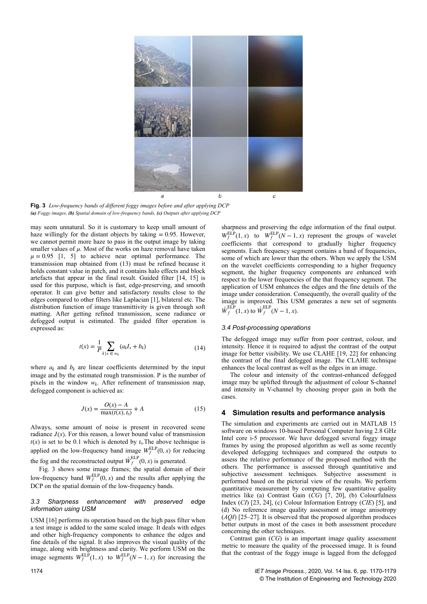

**Fig. 3** *Low-frequency bands of different foggy images before and after applying DCP (a) Foggy images, (b) Spatial domain of low-frequency bands, (c) Outputs after applying DCP*

may seem unnatural. So it is customary to keep small amount of haze willingly for the distant objects by taking  $= 0.95$ . However, we cannot permit more haze to pass in the output image by taking smaller values of  $\mu$ . Most of the works on haze removal have taken  $\mu = 0.95$  [1, 5] to achieve near optimal performance. The transmission map obtained from (13) must be refined because it holds constant value in patch, and it contains halo effects and block artefacts that appear in the final result. Guided filter [14, 15] is used for this purpose, which is fast, edge-preserving, and smooth operator. It can give better and satisfactory results close to the edges compared to other filters like Laplacian [1], bilateral etc. The distribution function of image transmittivity is given through soft matting. After getting refined transmission, scene radiance or defogged output is estimated. The guided filter operation is expressed as:

$$
t(x) = \frac{1}{P} \sum_{k \mid x \in w_k} (a_k I_x + b_k)
$$
 (14)

where  $a_k$  and  $b_k$  are linear coefficients determined by the input image and by the estimated rough transmission. P is the number of pixels in the window *w<sup>k</sup>* . After refinement of transmission map, defogged component is achieved as:

$$
J(x) = \frac{O(x) - A}{\max(t(x), t_0)} + A
$$
 (15)

Always, some amount of noise is present in recovered scene radiance  $J(x)$ . For this reason, a lower bound value of transmission  $t(x)$  is set to be 0.1 which is denoted by  $t_0$ . The above technique is applied on the low-frequency band image  $W_f^{\text{ELP}}(0, x)$  for reducing the fog and the reconstructed output  $\hat{W}_f^{\text{ELP}}(0, x)$  is generated.

Fig. 3 shows some image frames; the spatial domain of their low-frequency band  $W_f^{\text{ELP}}(0, x)$  and the results after applying the DCP on the spatial domain of the low-frequency bands.

# *3.3 Sharpness enhancement with preserved edge information using USM*

USM [16] performs its operation based on the high pass filter when a test image is added to the same scaled image. It deals with edges and other high-frequency components to enhance the edges and fine details of the signal. It also improves the visual quality of the image, along with brightness and clarity. We perform USM on the image segments  $W_f^{\text{ELP}}(1, x)$  to  $W_f^{\text{ELP}}(N-1, x)$  for increasing the

sharpness and preserving the edge information of the final output.  $W_f^{\text{ELP}}(1, x)$  to  $W_f^{\text{ELP}}(N-1, x)$  represent the groups of wavelet coefficients that correspond to gradually higher frequency segments. Each frequency segment contains a band of frequencies, some of which are lower than the others. When we apply the USM on the wavelet coefficients corresponding to a higher frequency segment, the higher frequency components are enhanced with respect to the lower frequencies of the that frequency segment. The application of USM enhances the edges and the fine details of the image under consideration. Consequently, the overall quality of the image is improved. This USM generates a new set of segments  $\hat{W}^{\text{ELP}}_f(1, x)$  to  $\hat{W}^{\text{ELP}}_f(N-1, x)$ .

#### *3.4 Post-processing operations*

The defogged image may suffer from poor contrast, colour, and intensity. Hence it is required to adjust the contrast of the output image for better visibility. We use CLAHE [19, 22] for enhancing the contrast of the final defogged image. The CLAHE technique enhances the local contrast as well as the edges in an image.

The colour and intensity of the contrast-enhanced defogged image may be uplifted through the adjustment of colour S-channel and intensity in V-channel by choosing proper gain in both the cases.

# **4 Simulation results and performance analysis**

The simulation and experiments are carried out in MATLAB 15 software on windows 10-based Personal Computer having 2.8 GHz Intel core i-5 processor. We have defogged several foggy image frames by using the proposed algorithm as well as some recently developed defogging techniques and compared the outputs to assess the relative performance of the proposed method with the others. The performance is assessed through quantitative and subjective assessment techniques. Subjective assessment is performed based on the pictorial view of the results. We perform quantitative measurement by computing few quantitative quality metrics like (a) Contrast Gain (*CG*) [7, 20], (b) Colourfulness Index (*CI*) [23, 24], (c) Colour Information Entropy (*CIE*) [5], and (d) No reference image quality assessment or image anisotropy (*AQI*) [25–27]. It is observed that the proposed algorithm produces better outputs in most of the cases in both assessment procedure concerning the other techniques.

Contrast gain (*CG*) is an important image quality assessment metric to measure the quality of the processed image. It is found that the contrast of the foggy image is lagged from the defogged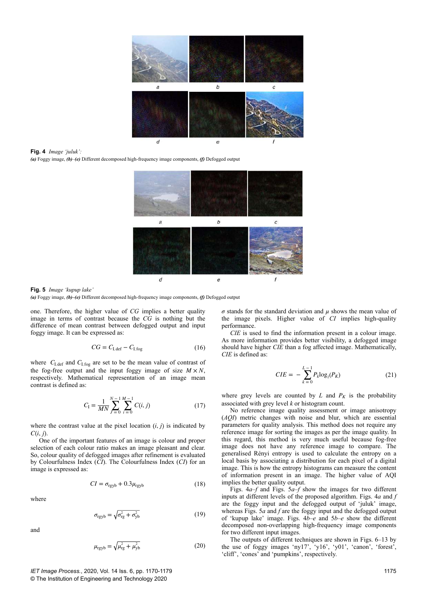

**Fig. 4** *Image 'juluk':*

*(a)* Foggy image, *(b)–(e)* Different decomposed high-frequency image components, *(f)* Defogged output



**Fig. 5** *Image 'kupup lake'*

*(a)* Foggy image, *(b)***–***(e)* Different decomposed high-frequency image components, *(f)* Defogged output

one. Therefore, the higher value of *CG* implies a better quality image in terms of contrast because the *CG* is nothing but the difference of mean contrast between defogged output and input foggy image. It can be expressed as:

$$
CG = C_{\text{I,def}} - C_{\text{I,fog}} \tag{16}
$$

where  $C_{\text{I,def}}$  and  $C_{\text{I,fog}}$  are set to be the mean value of contrast of the fog-free output and the input foggy image of size  $M \times N$ , respectively. Mathematical representation of an image mean contrast is defined as:

$$
C_{\rm I} = \frac{1}{MN} \sum_{j=0}^{N-1} \sum_{i=0}^{M-1} C(i, j) \tag{17}
$$

where the contrast value at the pixel location  $(i, j)$  is indicated by  $C(i, j)$ .

One of the important features of an image is colour and proper selection of each colour ratio makes an image pleasant and clear. So, colour quality of defogged images after refinement is evaluated by Colourfulness Index (*CI*). The Colourfulness Index (*CI*) for an image is expressed as:

$$
CI = \sigma_{\text{rgyb}} + 0.3\mu_{\text{rgyb}} \tag{18}
$$

where

$$
\sigma_{\text{rgyb}} = \sqrt{\sigma_{\text{rg}}^2 + \sigma_{\text{yb}}^2} \tag{19}
$$

and

$$
\mu_{\text{rgb}} = \sqrt{\mu_{\text{rg}}^2 + \mu_{\text{yb}}^2} \tag{20}
$$

*σ* stands for the standard deviation and *μ* shows the mean value of the image pixels. Higher value of *CI* implies high-quality performance.

*CIE* is used to find the information present in a colour image. As more information provides better visibility, a defogged image should have higher *CIE* than a fog affected image. Mathematically, *CIE* is defined as:

$$
CIE = -\sum_{k=0}^{L-1} P_k \log_2(P_K)
$$
 (21)

where grey levels are counted by  $L$  and  $P_K$  is the probability associated with grey level *k* or histogram count.

No reference image quality assessment or image anisotropy (*AQI*) metric changes with noise and blur, which are essential parameters for quality analysis. This method does not require any reference image for sorting the images as per the image quality. In this regard, this method is very much useful because fog-free image does not have any reference image to compare. The generalised Rényi entropy is used to calculate the entropy on a local basis by associating a distribution for each pixel of a digital image. This is how the entropy histograms can measure the content of information present in an image. The higher value of AQI implies the better quality output.

Figs. 4*a*–*f* and Figs. 5*a*–*f* show the images for two different inputs at different levels of the proposed algorithm. Figs. 4*a* and *f* are the foggy input and the defogged output of 'juluk' image, whereas Figs. 5*a* and *f* are the foggy input and the defogged output of 'kupup lake' image. Figs. 4*b*–*e* and 5*b*–*e* show the different decomposed non-overlapping high-frequency image components for two different input images.

The outputs of different techniques are shown in Figs. 6–13 by the use of foggy images 'ny17', 'y16', 'y01', 'canon', 'forest', 'cliff', 'cones' and 'pumpkins', respectively.

*IET Image Process.*, 2020, Vol. 14 Iss. 6, pp. 1170-1179 © The Institution of Engineering and Technology 2020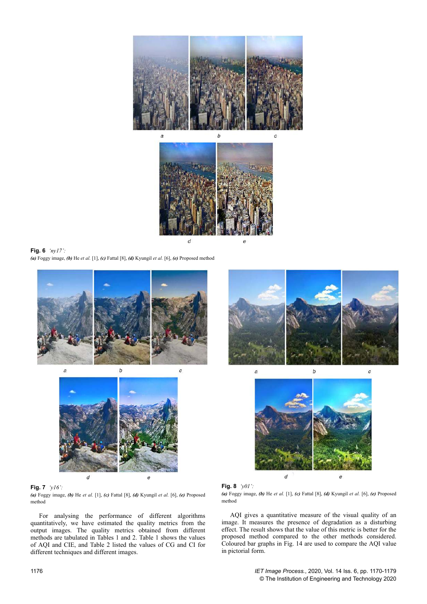

**Fig. 6** *'ny17': (a)* Foggy image, *(b)* He *et al.* [1], *(c)* Fattal [8], *(d)* Kyungil *et al.* [6], *(e)* Proposed method





# **Fig. 7** *'y16':*

*(a)* Foggy image, *(b)* He *et al.* [1], *(c)* Fattal [8], *(d)* Kyungil *et al.* [6], *(e)* Proposed method

For analysing the performance of different algorithms quantitatively, we have estimated the quality metrics from the output images. The quality metrics obtained from different methods are tabulated in Tables 1 and 2. Table 1 shows the values of AQI and CIE, and Table 2 listed the values of CG and CI for different techniques and different images.







*(a)* Foggy image, *(b)* He *et al.* [1], *(c)* Fattal [8], *(d)* Kyungil *et al.* [6], *(e)* Proposed method

AQI gives a quantitative measure of the visual quality of an image. It measures the presence of degradation as a disturbing effect. The result shows that the value of this metric is better for the proposed method compared to the other methods considered. Coloured bar graphs in Fig. 14 are used to compare the AQI value in pictorial form.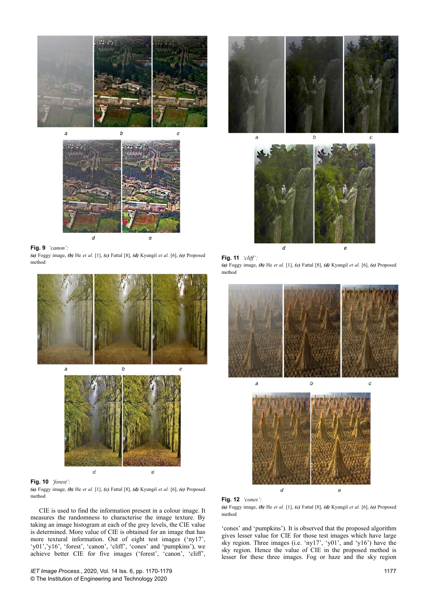



#### **Fig. 9** *'canon':*

*(a)* Foggy image, *(b)* He *et al.* [1], *(c)* Fattal [8], *(d)* Kyungil *et al.* [6], *(e)* Proposed method





# **Fig. 10** *'forest':*

*(a)* Foggy image, *(b)* He *et al.* [1], *(c)* Fattal [8], *(d)* Kyungil *et al.* [6], *(e)* Proposed method

CIE is used to find the information present in a colour image. It measures the randomness to characterise the image texture. By taking an image histogram at each of the grey levels, the CIE value is determined. More value of CIE is obtained for an image that has more textural information. Out of eight test images ('ny17', 'y01','y16', 'forest', 'canon', 'cliff', 'cones' and 'pumpkins'), we achieve better CIE for five images ('forest', 'canon', 'cliff',





## **Fig. 11** *'cliff':*

*(a)* Foggy image, *(b)* He *et al.* [1], *(c)* Fattal [8], *(d)* Kyungil *et al.* [6], *(e)* Proposed method





*(a)* Foggy image, *(b)* He *et al.* [1], *(c)* Fattal [8], *(d)* Kyungil *et al.* [6], *(e)* Proposed method

'cones' and 'pumpkins'). It is observed that the proposed algorithm gives lesser value for CIE for those test images which have large sky region. Three images (i.e. 'ny17', 'y01', and 'y16') have the sky region. Hence the value of CIE in the proposed method is lesser for these three images. Fog or haze and the sky region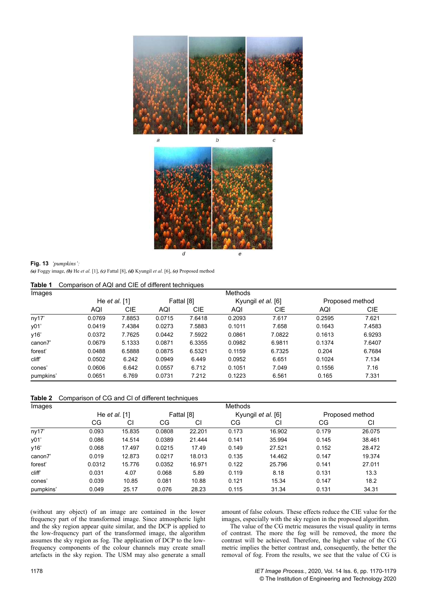

#### **Fig. 13** *'pumpkins':*

*(a)* Foggy image, *(b)* He *et al.* [1], *(c)* Fattal [8], *(d)* Kyungil *et al.* [6], *(e)* Proposed method

**Table 1** Comparison of AQI and CIE of different techniques

| Images    | <b>Methods</b>  |        |            |            |                    |            |                 |        |  |  |
|-----------|-----------------|--------|------------|------------|--------------------|------------|-----------------|--------|--|--|
|           | He et al. $[1]$ |        | Fattal [8] |            | Kyungil et al. [6] |            | Proposed method |        |  |  |
|           | AQI             | CIE    | AQI        | <b>CIE</b> | AQI                | <b>CIE</b> | AQI             | CIE    |  |  |
| ny17'     | 0.0769          | 7.8853 | 0.0715     | 7.6418     | 0.2093             | 7.617      | 0.2595          | 7.621  |  |  |
| y01'      | 0.0419          | 7.4384 | 0.0273     | 7.5883     | 0.1011             | 7.658      | 0.1643          | 7.4583 |  |  |
| y16'      | 0.0372          | 7.7625 | 0.0442     | 7.5922     | 0.0861             | 7.0822     | 0.1613          | 6.9293 |  |  |
| canon7    | 0.0679          | 5.1333 | 0.0871     | 6.3355     | 0.0982             | 6.9811     | 0.1374          | 7.6407 |  |  |
| forest'   | 0.0488          | 6.5888 | 0.0875     | 6.5321     | 0.1159             | 6.7325     | 0.204           | 6.7684 |  |  |
| cliff'    | 0.0502          | 6.242  | 0.0949     | 6.449      | 0.0952             | 6.651      | 0.1024          | 7.134  |  |  |
| cones'    | 0.0606          | 6.642  | 0.0557     | 6.712      | 0.1051             | 7.049      | 0.1556          | 7.16   |  |  |
| pumpkins' | 0.0651          | 6.769  | 0.0731     | 7.212      | 0.1223             | 6.561      | 0.165           | 7.331  |  |  |

**Table 2** Comparison of CG and CI of different techniques

| Images    | <b>Methods</b>  |        |            |        |                    |        |                 |        |  |  |
|-----------|-----------------|--------|------------|--------|--------------------|--------|-----------------|--------|--|--|
|           | He et al. $[1]$ |        | Fattal [8] |        | Kyungil et al. [6] |        | Proposed method |        |  |  |
|           | СG              | CI     | CG         | CI     | CG                 | CI     | СG              | СI     |  |  |
| ny17'     | 0.093           | 15.835 | 0.0808     | 22.201 | 0.173              | 16.902 | 0.179           | 26.075 |  |  |
| y01'      | 0.086           | 14.514 | 0.0389     | 21.444 | 0.141              | 35.994 | 0.145           | 38.461 |  |  |
| y16'      | 0.068           | 17.497 | 0.0215     | 17.49  | 0.149              | 27.521 | 0.152           | 28.472 |  |  |
| canon7    | 0.019           | 12.873 | 0.0217     | 18.013 | 0.135              | 14.462 | 0.147           | 19.374 |  |  |
| forest'   | 0.0312          | 15.776 | 0.0352     | 16.971 | 0.122              | 25.796 | 0.141           | 27.011 |  |  |
| cliff'    | 0.031           | 4.07   | 0.068      | 5.89   | 0.119              | 8.18   | 0.131           | 13.3   |  |  |
| cones'    | 0.039           | 10.85  | 0.081      | 10.88  | 0.121              | 15.34  | 0.147           | 18.2   |  |  |
| pumpkins' | 0.049           | 25.17  | 0.076      | 28.23  | 0.115              | 31.34  | 0.131           | 34.31  |  |  |

(without any object) of an image are contained in the lower frequency part of the transformed image. Since atmospheric light and the sky region appear quite similar, and the DCP is applied to the low-frequency part of the transformed image, the algorithm assumes the sky region as fog. The application of DCP to the lowfrequency components of the colour channels may create small artefacts in the sky region. The USM may also generate a small amount of false colours. These effects reduce the CIE value for the images, especially with the sky region in the proposed algorithm.

The value of the CG metric measures the visual quality in terms of contrast. The more the fog will be removed, the more the contrast will be achieved. Therefore, the higher value of the CG metric implies the better contrast and, consequently, the better the removal of fog. From the results, we see that the value of CG is

1178 *IET Image Process.*, 2020, Vol. 14 Iss. 6, pp. 1170-1179 © The Institution of Engineering and Technology 2020